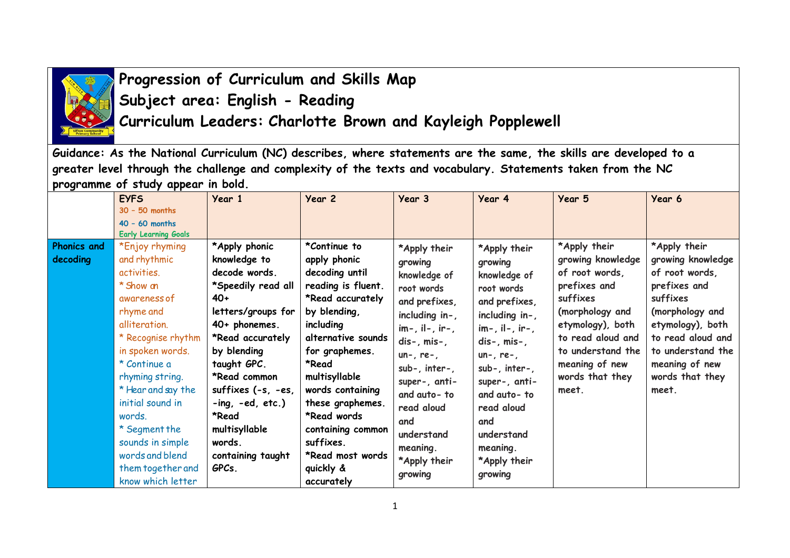

## **Progression of Curriculum and Skills Map Subject area: English - Reading Curriculum Leaders: Charlotte Brown and Kayleigh Popplewell**

**Guidance: As the National Curriculum (NC) describes, where statements are the same, the skills are developed to a greater level through the challenge and complexity of the texts and vocabulary. Statements taken from the NC programme of study appear in bold.** 

|                    | <b>EYFS</b>                 | Year 1             | Year 2             | Year 3            | Year 4               | Year 5            | Year 6            |
|--------------------|-----------------------------|--------------------|--------------------|-------------------|----------------------|-------------------|-------------------|
|                    | $30 - 50$ months            |                    |                    |                   |                      |                   |                   |
|                    | $40 - 60$ months            |                    |                    |                   |                      |                   |                   |
|                    | <b>Early Learning Goals</b> |                    |                    |                   |                      |                   |                   |
| <b>Phonics and</b> | *Enjoy rhyming              | *Apply phonic      | *Continue to       | *Apply their      | *Apply their         | *Apply their      | *Apply their      |
| decoding           | and rhythmic                | knowledge to       | apply phonic       | growing           | growing              | growing knowledge | growing knowledge |
|                    | activities.                 | decode words.      | decoding until     | knowledge of      | knowledge of         | of root words,    | of root words,    |
|                    | * Show an                   | *Speedily read all | reading is fluent. | root words        | root words           | prefixes and      | prefixes and      |
|                    | awareness of                | $40+$              | *Read accurately   | and prefixes,     | and prefixes,        | suffixes          | suffixes          |
|                    | rhyme and                   | letters/groups for | by blending,       | including in-,    | including in-,       | (morphology and   | (morphology and   |
|                    | alliteration.               | $40+$ phonemes.    | including          | $im-$ , il-, ir-, | $im-$ , il-, $ir-$ , | etymology), both  | etymology), both  |
|                    | * Recognise rhythm          | *Read accurately   | alternative sounds | $dis-, mis-,$     | $dis-, mis-,$        | to read aloud and | to read aloud and |
|                    | in spoken words.            | by blending        | for graphemes.     | $un-, re-,$       | $un-, re-,$          | to understand the | to understand the |
|                    | * Continue a                | taught GPC.        | *Read              | $sub-,$ inter-,   | $sub-,$ inter-,      | meaning of new    | meaning of new    |
|                    | rhyming string.             | *Read common       | multisyllable      | super-, anti-     | super-, anti-        | words that they   | words that they   |
|                    | * Hear and say the          | suffixes (-s, -es, | words containing   | and auto-to       | and auto-to          | meet.             | meet.             |
|                    | initial sound in            | $-ing, -ed, etc.)$ | these graphemes.   |                   | read aloud           |                   |                   |
|                    | words.                      | *Read              | *Read words        | read aloud        |                      |                   |                   |
|                    | * Segment the               | multisyllable      | containing common  | and               | and                  |                   |                   |
|                    | sounds in simple            | words.             | suffixes.          | understand        | understand           |                   |                   |
|                    | words and blend             | containing taught  | *Read most words   | meaning.          | meaning.             |                   |                   |
|                    | them together and           | GPCs.              | quickly &          | *Apply their      | *Apply their         |                   |                   |
|                    | know which letter           |                    | accurately         | growing           | growing              |                   |                   |
|                    |                             |                    |                    |                   |                      |                   |                   |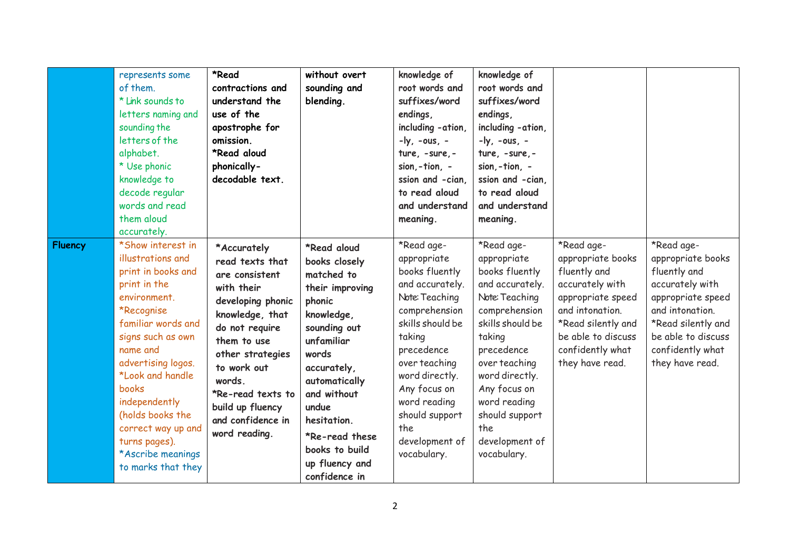|                | represents some<br>of them.<br>* Link sounds to<br>letters naming and<br>sounding the<br>letters of the<br>alphabet.<br>* Use phonic<br>knowledge to<br>decode regular<br>words and read<br>them aloud<br>accurately.                                                                                                                       | *Read<br>contractions and<br>understand the<br>use of the<br>apostrophe for<br>omission.<br>*Read aloud<br>phonically-<br>decodable text.                                                                                                                          | without overt<br>sounding and<br>blending.                                                                                                                                                                                                                                 | knowledge of<br>root words and<br>suffixes/word<br>endings,<br>including - ation,<br>$-ly, -ous, -$<br>ture, -sure, -<br>sion, $-$ tion, $-$<br>ssion and -cian.<br>to read aloud<br>and understand<br>meaning.                                                            | knowledge of<br>root words and<br>suffixes/word<br>endings,<br>including -ation,<br>$-ly, -ous, -$<br>ture, -sure, -<br>sion,-tion, -<br>ssion and -cian.<br>to read aloud<br>and understand<br>meaning.                                                                   |                                                                                                                                                                                               |                                                                                                                                                                                               |
|----------------|---------------------------------------------------------------------------------------------------------------------------------------------------------------------------------------------------------------------------------------------------------------------------------------------------------------------------------------------|--------------------------------------------------------------------------------------------------------------------------------------------------------------------------------------------------------------------------------------------------------------------|----------------------------------------------------------------------------------------------------------------------------------------------------------------------------------------------------------------------------------------------------------------------------|----------------------------------------------------------------------------------------------------------------------------------------------------------------------------------------------------------------------------------------------------------------------------|----------------------------------------------------------------------------------------------------------------------------------------------------------------------------------------------------------------------------------------------------------------------------|-----------------------------------------------------------------------------------------------------------------------------------------------------------------------------------------------|-----------------------------------------------------------------------------------------------------------------------------------------------------------------------------------------------|
| <b>Fluency</b> | *Show interest in<br>illustrations and<br>print in books and<br>print in the<br>environment.<br>*Recognise<br>familiar words and<br>signs such as own<br>name and<br>advertising logos.<br>*Look and handle<br>books<br>independently<br>(holds books the<br>correct way up and<br>turns pages).<br>*Ascribe meanings<br>to marks that they | *Accurately<br>read texts that<br>are consistent<br>with their<br>developing phonic<br>knowledge, that<br>do not require<br>them to use<br>other strategies<br>to work out<br>words<br>*Re-read texts to<br>build up fluency<br>and confidence in<br>word reading. | *Read aloud<br>books closely<br>matched to<br>their improving<br>phonic<br>knowledge,<br>sounding out<br>unfamiliar<br>words<br>accurately,<br>automatically<br>and without<br>undue<br>hesitation.<br>*Re-read these<br>books to build<br>up fluency and<br>confidence in | *Read age-<br>appropriate<br>books fluently<br>and accurately.<br>Note: Teaching<br>comprehension<br>skills should be<br>taking<br>precedence<br>over teaching<br>word directly.<br>Any focus on<br>word reading<br>should support<br>the<br>development of<br>vocabulary. | *Read age-<br>appropriate<br>books fluently<br>and accurately.<br>Note: Teaching<br>comprehension<br>skills should be<br>taking<br>precedence<br>over teaching<br>word directly.<br>Any focus on<br>word reading<br>should support<br>the<br>development of<br>vocabulary. | *Read age-<br>appropriate books<br>fluently and<br>accurately with<br>appropriate speed<br>and intonation.<br>*Read silently and<br>be able to discuss<br>confidently what<br>they have read. | *Read age-<br>appropriate books<br>fluently and<br>accurately with<br>appropriate speed<br>and intonation.<br>*Read silently and<br>be able to discuss<br>confidently what<br>they have read. |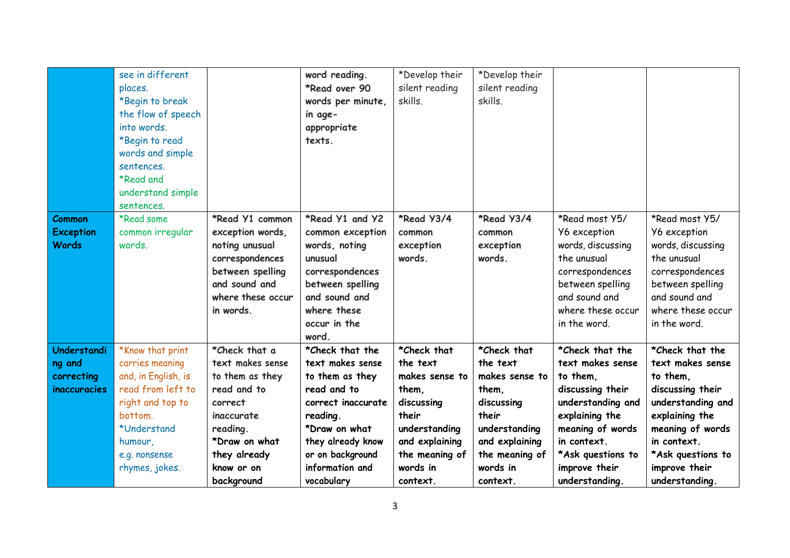|                  | see in different    |                   | word reading.      | *Develop their | *Develop their |                     |                     |
|------------------|---------------------|-------------------|--------------------|----------------|----------------|---------------------|---------------------|
|                  | places.             |                   | *Read over 90      | silent reading | silent reading |                     |                     |
|                  | *Begin to break     |                   | words per minute,  | skills.        | skills.        |                     |                     |
|                  | the flow of speech  |                   |                    |                |                |                     |                     |
|                  |                     |                   | in age-            |                |                |                     |                     |
|                  | into words.         |                   | appropriate        |                |                |                     |                     |
|                  | *Begin to read      |                   | texts.             |                |                |                     |                     |
|                  | words and simple    |                   |                    |                |                |                     |                     |
|                  | sentences.          |                   |                    |                |                |                     |                     |
|                  | *Read and           |                   |                    |                |                |                     |                     |
|                  | understand simple   |                   |                    |                |                |                     |                     |
|                  | sentences.          |                   |                    |                |                |                     |                     |
| <b>Common</b>    | *Read some          | *Read Y1 common   | *Read Y1 and Y2    | *Read Y3/4     | *Read Y3/4     | *Read most Y5/      | *Read most Y5/      |
| <b>Exception</b> | common irregular    | exception words,  | common exception   | common         | common         | <b>Y6</b> exception | <b>Y6</b> exception |
| <b>Words</b>     | words.              | noting unusual    | words, noting      | exception      | exception      | words, discussing   | words, discussing   |
|                  |                     | correspondences   | unusual            | words.         | words.         | the unusual         | the unusual         |
|                  |                     | between spelling  | correspondences    |                |                | correspondences     | correspondences     |
|                  |                     | and sound and     | between spelling   |                |                | between spelling    | between spelling    |
|                  |                     | where these occur | and sound and      |                |                | and sound and       | and sound and       |
|                  |                     | in words.         | where these        |                |                | where these occur   | where these occur   |
|                  |                     |                   | occur in the       |                |                | in the word.        | in the word.        |
|                  |                     |                   | word.              |                |                |                     |                     |
| Understandi      | *Know that print    | *Check that a     | *Check that the    | *Check that    | *Check that    | *Check that the     | *Check that the     |
|                  | carries meaning     | text makes sense  | text makes sense   | the text       | the text       | text makes sense    | text makes sense    |
| ng and           |                     |                   |                    |                |                |                     |                     |
| correcting       | and, in English, is | to them as they   | to them as they    | makes sense to | makes sense to | to them.            | to them,            |
| inaccuracies     | read from left to   | read and to       | read and to        | them,          | them,          | discussing their    | discussing their    |
|                  | right and top to    | correct           | correct inaccurate | discussing     | discussing     | understanding and   | understanding and   |
|                  | bottom.             | <i>inaccurate</i> | reading.           | their          | their          | explaining the      | explaining the      |
|                  | *Understand         | reading.          | *Draw on what      | understanding  | understanding  | meaning of words    | meaning of words    |
|                  | humour,             | *Draw on what     | they already know  | and explaining | and explaining | in context.         | in context.         |
|                  | e.g. nonsense       | they already      | or on background   | the meaning of | the meaning of | *Ask questions to   | *Ask questions to   |
|                  | rhymes, jokes.      | know or on        | information and    | words in       | words in       | improve their       | improve their       |
|                  |                     | background        | vocabulary         | context.       | context.       | understanding.      | understanding.      |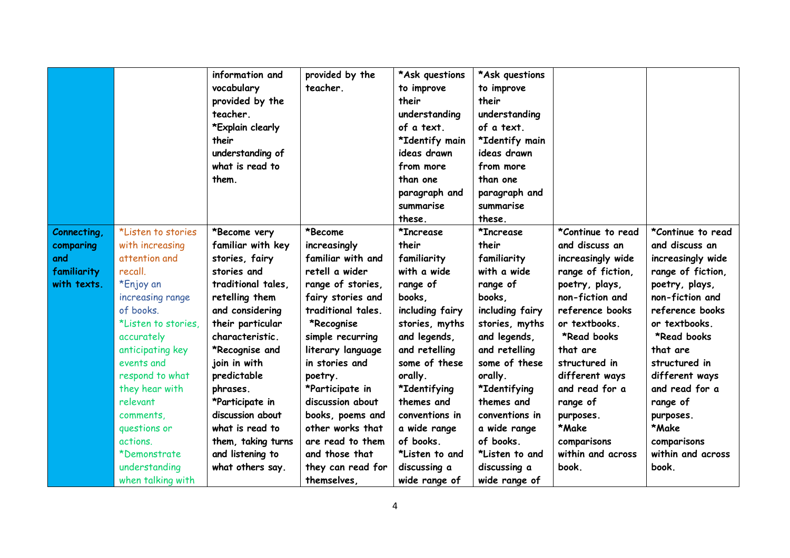|             |                     | information and    | provided by the    | *Ask questions  | *Ask questions  |                   |                   |
|-------------|---------------------|--------------------|--------------------|-----------------|-----------------|-------------------|-------------------|
|             |                     | vocabulary         | teacher.           | to improve      | to improve      |                   |                   |
|             |                     | provided by the    |                    | their           | their           |                   |                   |
|             |                     | teacher.           |                    | understanding   | understanding   |                   |                   |
|             |                     | *Explain clearly   |                    | of a text.      | of a text.      |                   |                   |
|             |                     | their              |                    | *Identify main  | *Identify main  |                   |                   |
|             |                     | understanding of   |                    | ideas drawn     | ideas drawn     |                   |                   |
|             |                     | what is read to    |                    | from more       | from more       |                   |                   |
|             |                     | them.              |                    | than one        | than one        |                   |                   |
|             |                     |                    |                    | paragraph and   | paragraph and   |                   |                   |
|             |                     |                    |                    | summarise       | summarise       |                   |                   |
|             |                     |                    |                    | these.          | these.          |                   |                   |
| Connecting, | *Listen to stories  | *Become very       | *Become            | *Increase       | *Increase       | *Continue to read | *Continue to read |
| comparing   | with increasing     | familiar with key  | increasingly       | their           | their           | and discuss an    | and discuss an    |
| and         | attention and       | stories, fairy     | familiar with and  | familiarity     | familiarity     | increasingly wide | increasingly wide |
| familiarity | recall.             | stories and        | retell a wider     | with a wide     | with a wide     | range of fiction, | range of fiction, |
| with texts. | *Enjoy an           | traditional tales. | range of stories,  | range of        | range of        | poetry, plays,    | poetry, plays,    |
|             | increasing range    | retelling them     | fairy stories and  | books,          | books,          | non-fiction and   | non-fiction and   |
|             | of books.           | and considering    | traditional tales. | including fairy | including fairy | reference books   | reference books   |
|             | *Listen to stories. | their particular   | *Recognise         | stories, myths  | stories, myths  | or textbooks.     | or textbooks.     |
|             | accurately          | characteristic.    | simple recurring   | and legends,    | and legends,    | *Read books       | *Read books       |
|             | anticipating key    | *Recognise and     | literary language  | and retelling   | and retelling   | that are          | that are          |
|             | events and          | join in with       | in stories and     | some of these   | some of these   | structured in     | structured in     |
|             | respond to what     | predictable        | poetry.            | orally.         | orally.         | different ways    | different ways    |
|             | they hear with      | phrases.           | *Participate in    | *Identifying    | *Identifying    | and read for a    | and read for a    |
|             | relevant            | *Participate in    | discussion about   | themes and      | themes and      | range of          | range of          |
|             | comments,           | discussion about   | books, poems and   | conventions in  | conventions in  | purposes.         | purposes.         |
|             | questions or        | what is read to    | other works that   | a wide range    | a wide range    | *Make             | *Make             |
|             | actions.            | them, taking turns | are read to them   | of books.       | of books.       | comparisons       | comparisons       |
|             | *Demonstrate        | and listening to   | and those that     | *Listen to and  | *Listen to and  | within and across | within and across |
|             | understanding       | what others say.   | they can read for  | discussing a    | discussing a    | book.             | book.             |
|             | when talking with   |                    | themselves,        | wide range of   | wide range of   |                   |                   |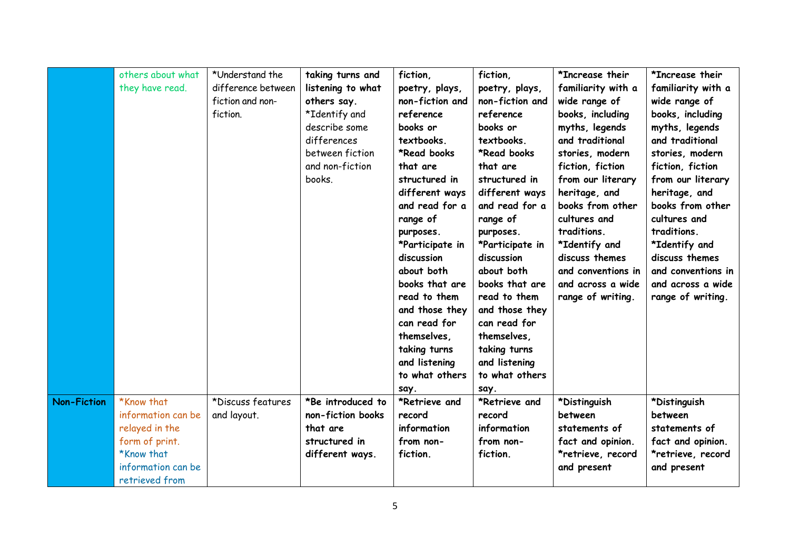|                    | others about what<br>they have read. | *Understand the<br>difference between<br>fiction and non-<br>fiction. | taking turns and<br>listening to what<br>others say.<br>*Identify and<br>describe some<br>differences<br>between fiction<br>and non-fiction<br>books. | fiction,<br>poetry, plays,<br>non-fiction and<br>reference<br>books or<br>textbooks.<br>*Read books<br>that are<br>structured in<br>different ways<br>and read for a<br>range of<br>purposes.<br>*Participate in<br>discussion<br>about both<br>books that are<br>read to them<br>and those they<br>can read for | fiction,<br>poetry, plays,<br>non-fiction and<br>reference<br>books or<br>textbooks.<br>*Read books<br>that are<br>structured in<br>different ways<br>and read for a<br>range of<br>purposes.<br>*Participate in<br>discussion<br>about both<br>books that are<br>read to them<br>and those they<br>can read for | *Increase their<br>familiarity with a<br>wide range of<br>books, including<br>myths, legends<br>and traditional<br>stories, modern<br>fiction, fiction<br>from our literary<br>heritage, and<br>books from other<br>cultures and<br>traditions.<br>*Identify and<br>discuss themes<br>and conventions in<br>and across a wide<br>range of writing. | *Increase their<br>familiarity with a<br>wide range of<br>books, including<br>myths, legends<br>and traditional<br>stories, modern<br>fiction, fiction<br>from our literary<br>heritage, and<br>books from other<br>cultures and<br>traditions.<br>*Identify and<br>discuss themes<br>and conventions in<br>and across a wide<br>range of writing. |
|--------------------|--------------------------------------|-----------------------------------------------------------------------|-------------------------------------------------------------------------------------------------------------------------------------------------------|------------------------------------------------------------------------------------------------------------------------------------------------------------------------------------------------------------------------------------------------------------------------------------------------------------------|------------------------------------------------------------------------------------------------------------------------------------------------------------------------------------------------------------------------------------------------------------------------------------------------------------------|----------------------------------------------------------------------------------------------------------------------------------------------------------------------------------------------------------------------------------------------------------------------------------------------------------------------------------------------------|----------------------------------------------------------------------------------------------------------------------------------------------------------------------------------------------------------------------------------------------------------------------------------------------------------------------------------------------------|
|                    |                                      |                                                                       |                                                                                                                                                       | themselves,<br>taking turns<br>and listening<br>to what others                                                                                                                                                                                                                                                   | themselves,<br>taking turns<br>and listening<br>to what others                                                                                                                                                                                                                                                   |                                                                                                                                                                                                                                                                                                                                                    |                                                                                                                                                                                                                                                                                                                                                    |
| <b>Non-Fiction</b> | *Know that                           | *Discuss features                                                     | *Be introduced to                                                                                                                                     | say.<br>*Retrieve and                                                                                                                                                                                                                                                                                            | say.<br>*Retrieve and                                                                                                                                                                                                                                                                                            | *Distinguish                                                                                                                                                                                                                                                                                                                                       | *Distinguish                                                                                                                                                                                                                                                                                                                                       |
|                    | information can be                   | and layout.                                                           | non-fiction books                                                                                                                                     | record                                                                                                                                                                                                                                                                                                           | record                                                                                                                                                                                                                                                                                                           | between                                                                                                                                                                                                                                                                                                                                            | between                                                                                                                                                                                                                                                                                                                                            |
|                    | relayed in the                       |                                                                       | that are                                                                                                                                              | information                                                                                                                                                                                                                                                                                                      | information                                                                                                                                                                                                                                                                                                      | statements of                                                                                                                                                                                                                                                                                                                                      | statements of                                                                                                                                                                                                                                                                                                                                      |
|                    | form of print.                       |                                                                       | structured in                                                                                                                                         | from non-                                                                                                                                                                                                                                                                                                        | from non-                                                                                                                                                                                                                                                                                                        | fact and opinion.                                                                                                                                                                                                                                                                                                                                  | fact and opinion.                                                                                                                                                                                                                                                                                                                                  |
|                    | *Know that                           |                                                                       | different ways.                                                                                                                                       | fiction.                                                                                                                                                                                                                                                                                                         | fiction.                                                                                                                                                                                                                                                                                                         | *retrieve, record                                                                                                                                                                                                                                                                                                                                  | *retrieve, record                                                                                                                                                                                                                                                                                                                                  |
|                    | information can be                   |                                                                       |                                                                                                                                                       |                                                                                                                                                                                                                                                                                                                  |                                                                                                                                                                                                                                                                                                                  | and present                                                                                                                                                                                                                                                                                                                                        | and present                                                                                                                                                                                                                                                                                                                                        |
|                    | retrieved from                       |                                                                       |                                                                                                                                                       |                                                                                                                                                                                                                                                                                                                  |                                                                                                                                                                                                                                                                                                                  |                                                                                                                                                                                                                                                                                                                                                    |                                                                                                                                                                                                                                                                                                                                                    |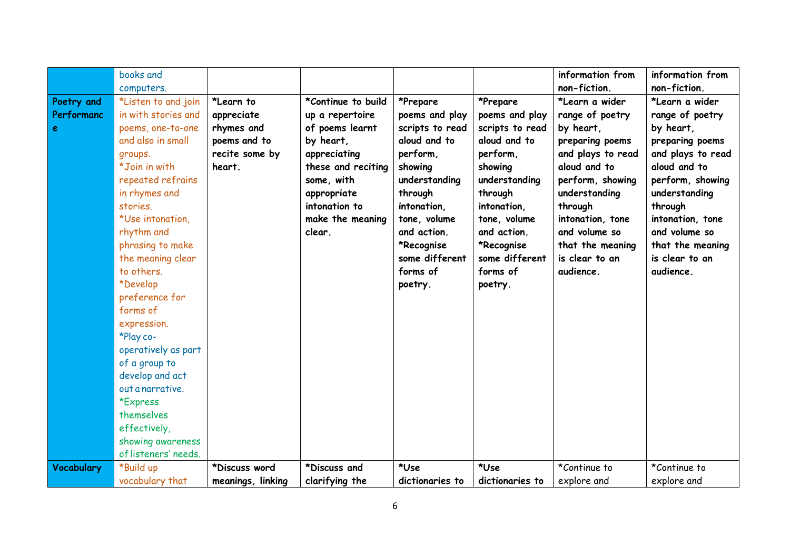|            | books and            |                   |                    |                 |                 | information from  | information from  |
|------------|----------------------|-------------------|--------------------|-----------------|-----------------|-------------------|-------------------|
|            | computers.           |                   |                    |                 |                 | non-fiction.      | non-fiction.      |
| Poetry and | *Listen to and join  | *Learn to         | *Continue to build | *Prepare        | *Prepare        | *Learn a wider    | *Learn a wider    |
| Performanc | in with stories and  | appreciate        | up a repertoire    | poems and play  | poems and play  | range of poetry   | range of poetry   |
| e          | poems, one-to-one    | rhymes and        | of poems learnt    | scripts to read | scripts to read | by heart,         | by heart,         |
|            | and also in small    | poems and to      | by heart,          | aloud and to    | aloud and to    | preparing poems   | preparing poems   |
|            | groups.              | recite some by    | appreciating       | perform,        | perform,        | and plays to read | and plays to read |
|            | *Join in with        | heart.            | these and reciting | showing         | showing         | aloud and to      | aloud and to      |
|            | repeated refrains    |                   | some, with         | understanding   | understanding   | perform, showing  | perform, showing  |
|            | in rhymes and        |                   | appropriate        | through         | through         | understanding     | understanding     |
|            | stories.             |                   | intonation to      | intonation,     | intonation,     | through           | through           |
|            | *Use intonation.     |                   | make the meaning   | tone, volume    | tone, volume    | intonation, tone  | intonation, tone  |
|            | rhythm and           |                   | clear.             | and action.     | and action.     | and volume so     | and volume so     |
|            | phrasing to make     |                   |                    | *Recognise      | *Recognise      | that the meaning  | that the meaning  |
|            | the meaning clear    |                   |                    | some different  | some different  | is clear to an    | is clear to an    |
|            | to others.           |                   |                    | forms of        | forms of        | audience.         | audience.         |
|            | *Develop             |                   |                    | poetry.         | poetry.         |                   |                   |
|            | preference for       |                   |                    |                 |                 |                   |                   |
|            | forms of             |                   |                    |                 |                 |                   |                   |
|            | expression.          |                   |                    |                 |                 |                   |                   |
|            | *Play co-            |                   |                    |                 |                 |                   |                   |
|            | operatively as part  |                   |                    |                 |                 |                   |                   |
|            | of a group to        |                   |                    |                 |                 |                   |                   |
|            | develop and act      |                   |                    |                 |                 |                   |                   |
|            | out a narrative.     |                   |                    |                 |                 |                   |                   |
|            | *Express             |                   |                    |                 |                 |                   |                   |
|            | themselves           |                   |                    |                 |                 |                   |                   |
|            | effectively,         |                   |                    |                 |                 |                   |                   |
|            | showing awareness    |                   |                    |                 |                 |                   |                   |
|            | of listeners' needs. |                   |                    |                 |                 |                   |                   |
| Vocabulary | *Build up            | *Discuss word     | *Discuss and       | *Use            | *Use            | *Continue to      | *Continue to      |
|            | vocabulary that      | meanings, linking | clarifying the     | dictionaries to | dictionaries to | explore and       | explore and       |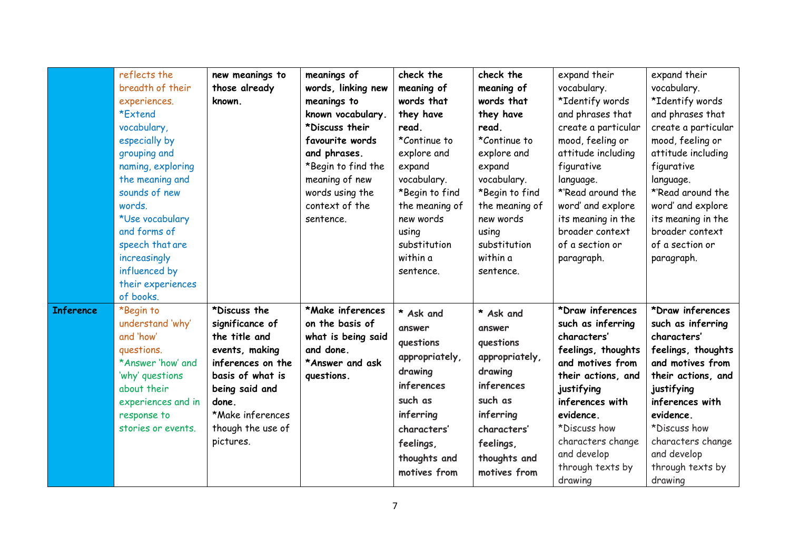|                  | reflects the<br>breadth of their<br>experiences.<br>*Extend<br>vocabulary,<br>especially by<br>grouping and<br>naming, exploring<br>the meaning and<br>sounds of new<br>words.<br>*Use vocabulary<br>and forms of<br>speech that are<br>increasingly<br>influenced by<br>their experiences<br>of books. | new meanings to<br>those already<br>known.                                                                                                                                                   | meanings of<br>words, linking new<br>meanings to<br>known vocabulary.<br>*Discuss their<br>favourite words<br>and phrases.<br>*Begin to find the<br>meaning of new<br>words using the<br>context of the<br>sentence. | check the<br>meaning of<br>words that<br>they have<br>read.<br>*Continue to<br>explore and<br>expand<br>vocabulary.<br>*Begin to find<br>the meaning of<br>new words<br>using<br>substitution<br>within a<br>sentence. | check the<br>meaning of<br>words that<br>they have<br>read.<br>*Continue to<br>explore and<br>expand<br>vocabulary.<br>*Begin to find<br>the meaning of<br>new words<br>using<br>substitution<br>within a<br>sentence. | expand their<br>vocabulary.<br>*Identify words<br>and phrases that<br>create a particular<br>mood, feeling or<br>attitude including<br>figurative<br>language.<br>*'Read around the<br>word' and explore<br>its meaning in the<br>broader context<br>of a section or<br>paragraph. | expand their<br>vocabulary.<br>*Identify words<br>and phrases that<br>create a particular<br>mood, feeling or<br>attitude including<br>figurative<br>language.<br>*'Read around the<br>word' and explore<br>its meaning in the<br>broader context<br>of a section or<br>paragraph. |
|------------------|---------------------------------------------------------------------------------------------------------------------------------------------------------------------------------------------------------------------------------------------------------------------------------------------------------|----------------------------------------------------------------------------------------------------------------------------------------------------------------------------------------------|----------------------------------------------------------------------------------------------------------------------------------------------------------------------------------------------------------------------|------------------------------------------------------------------------------------------------------------------------------------------------------------------------------------------------------------------------|------------------------------------------------------------------------------------------------------------------------------------------------------------------------------------------------------------------------|------------------------------------------------------------------------------------------------------------------------------------------------------------------------------------------------------------------------------------------------------------------------------------|------------------------------------------------------------------------------------------------------------------------------------------------------------------------------------------------------------------------------------------------------------------------------------|
| <b>Inference</b> | *Begin to<br>understand 'why'<br>and 'how'<br>questions.<br>*Answer 'how' and<br>'why' questions<br>about their<br>experiences and in<br>response to<br>stories or events.                                                                                                                              | *Discuss the<br>significance of<br>the title and<br>events, making<br>inferences on the<br>basis of what is<br>being said and<br>done.<br>*Make inferences<br>though the use of<br>pictures. | *Make inferences<br>on the basis of<br>what is being said<br>and done.<br>*Answer and ask<br>questions.                                                                                                              | * Ask and<br>answer<br>questions<br>appropriately,<br>drawing<br>inferences<br>such as<br>inferring<br>characters'<br>feelings,<br>thoughts and<br>motives from                                                        | * Ask and<br>answer<br>questions<br>appropriately,<br>drawing<br>inferences<br>such as<br>inferring<br>characters'<br>feelings,<br>thoughts and<br>motives from                                                        | *Draw inferences<br>such as inferring<br>characters'<br>feelings, thoughts<br>and motives from<br>their actions, and<br>justifying<br>inferences with<br>evidence.<br>*Discuss how<br>characters change<br>and develop<br>through texts by<br>drawing                              | *Draw inferences<br>such as inferring<br>characters'<br>feelings, thoughts<br>and motives from<br>their actions, and<br>justifying<br>inferences with<br>evidence.<br>*Discuss how<br>characters change<br>and develop<br>through texts by<br>drawing                              |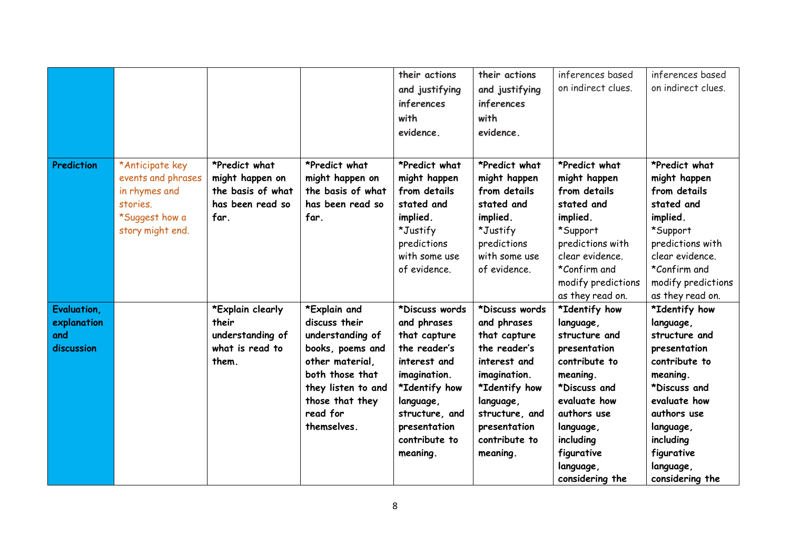|                            |                                                                                                          |                                                                                   |                                                                                   | their actions<br>and justifying<br>inferences<br>with<br>evidence.                                                                  | their actions<br>and justifying<br>inferences<br>with<br>evidence.                                                                  | inferences based<br>on indirect clues.                                                                                                                                               | inferences based<br>on indirect clues.                                                                                                                                               |
|----------------------------|----------------------------------------------------------------------------------------------------------|-----------------------------------------------------------------------------------|-----------------------------------------------------------------------------------|-------------------------------------------------------------------------------------------------------------------------------------|-------------------------------------------------------------------------------------------------------------------------------------|--------------------------------------------------------------------------------------------------------------------------------------------------------------------------------------|--------------------------------------------------------------------------------------------------------------------------------------------------------------------------------------|
| Prediction                 | *Anticipate key<br>events and phrases<br>in rhymes and<br>stories.<br>*Suggest how a<br>story might end. | *Predict what<br>might happen on<br>the basis of what<br>has been read so<br>far. | *Predict what<br>might happen on<br>the basis of what<br>has been read so<br>far. | *Predict what<br>might happen<br>from details<br>stated and<br>implied.<br>*Justify<br>predictions<br>with some use<br>of evidence. | *Predict what<br>might happen<br>from details<br>stated and<br>implied.<br>*Justify<br>predictions<br>with some use<br>of evidence. | *Predict what<br>might happen<br>from details<br>stated and<br>implied.<br>*Support<br>predictions with<br>clear evidence.<br>*Confirm and<br>modify predictions<br>as they read on. | *Predict what<br>might happen<br>from details<br>stated and<br>implied.<br>*Support<br>predictions with<br>clear evidence.<br>*Confirm and<br>modify predictions<br>as they read on. |
| Evaluation,<br>explanation |                                                                                                          | *Explain clearly<br>their                                                         | *Explain and<br>discuss their                                                     | *Discuss words<br>and phrases                                                                                                       | *Discuss words<br>and phrases                                                                                                       | *Identify how<br>language,                                                                                                                                                           | *Identify how<br>language,                                                                                                                                                           |
| and                        |                                                                                                          | understanding of                                                                  | understanding of                                                                  | that capture                                                                                                                        | that capture                                                                                                                        | structure and                                                                                                                                                                        | structure and                                                                                                                                                                        |
| discussion                 |                                                                                                          | what is read to                                                                   | books, poems and                                                                  | the reader's                                                                                                                        | the reader's                                                                                                                        | presentation                                                                                                                                                                         | presentation                                                                                                                                                                         |
|                            |                                                                                                          | them.                                                                             | other material,<br>both those that                                                | interest and                                                                                                                        | interest and                                                                                                                        | contribute to                                                                                                                                                                        | contribute to                                                                                                                                                                        |
|                            |                                                                                                          |                                                                                   | they listen to and                                                                | imagination.<br>*Identify how                                                                                                       | imagination.<br>*Identify how                                                                                                       | meaning.<br>*Discuss and                                                                                                                                                             | meaning.<br>*Discuss and                                                                                                                                                             |
|                            |                                                                                                          |                                                                                   | those that they                                                                   | language,                                                                                                                           | language,                                                                                                                           | evaluate how                                                                                                                                                                         | evaluate how                                                                                                                                                                         |
|                            |                                                                                                          |                                                                                   | read for                                                                          | structure, and                                                                                                                      | structure, and                                                                                                                      | authors use                                                                                                                                                                          | authors use                                                                                                                                                                          |
|                            |                                                                                                          |                                                                                   | themselves.                                                                       | presentation                                                                                                                        | presentation                                                                                                                        | language,                                                                                                                                                                            | language,                                                                                                                                                                            |
|                            |                                                                                                          |                                                                                   |                                                                                   | contribute to                                                                                                                       | contribute to                                                                                                                       | including                                                                                                                                                                            | including                                                                                                                                                                            |
|                            |                                                                                                          |                                                                                   |                                                                                   | meaning.                                                                                                                            | meaning.                                                                                                                            | figurative                                                                                                                                                                           | figurative                                                                                                                                                                           |
|                            |                                                                                                          |                                                                                   |                                                                                   |                                                                                                                                     |                                                                                                                                     | language,                                                                                                                                                                            | language,                                                                                                                                                                            |
|                            |                                                                                                          |                                                                                   |                                                                                   |                                                                                                                                     |                                                                                                                                     | considering the                                                                                                                                                                      | considering the                                                                                                                                                                      |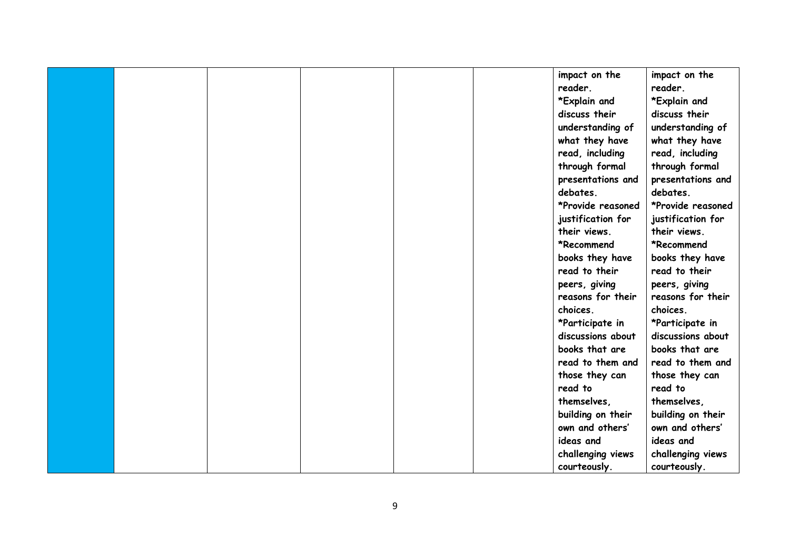|  |  |  | impact on the     | impact on the     |
|--|--|--|-------------------|-------------------|
|  |  |  | reader.           | reader.           |
|  |  |  | *Explain and      | *Explain and      |
|  |  |  | discuss their     | discuss their     |
|  |  |  | understanding of  | understanding of  |
|  |  |  | what they have    | what they have    |
|  |  |  | read, including   | read, including   |
|  |  |  | through formal    | through formal    |
|  |  |  | presentations and | presentations and |
|  |  |  | debates.          | debates.          |
|  |  |  | *Provide reasoned | *Provide reasoned |
|  |  |  | justification for | justification for |
|  |  |  | their views.      | their views.      |
|  |  |  | *Recommend        | *Recommend        |
|  |  |  | books they have   | books they have   |
|  |  |  | read to their     | read to their     |
|  |  |  | peers, giving     | peers, giving     |
|  |  |  | reasons for their | reasons for their |
|  |  |  | choices.          | choices.          |
|  |  |  | *Participate in   | *Participate in   |
|  |  |  | discussions about | discussions about |
|  |  |  | books that are    | books that are    |
|  |  |  | read to them and  | read to them and  |
|  |  |  | those they can    | those they can    |
|  |  |  | read to           | read to           |
|  |  |  | themselves,       | themselves,       |
|  |  |  | building on their | building on their |
|  |  |  | own and others'   | own and others'   |
|  |  |  | ideas and         | ideas and         |
|  |  |  | challenging views | challenging views |
|  |  |  | courteously.      | courteously.      |